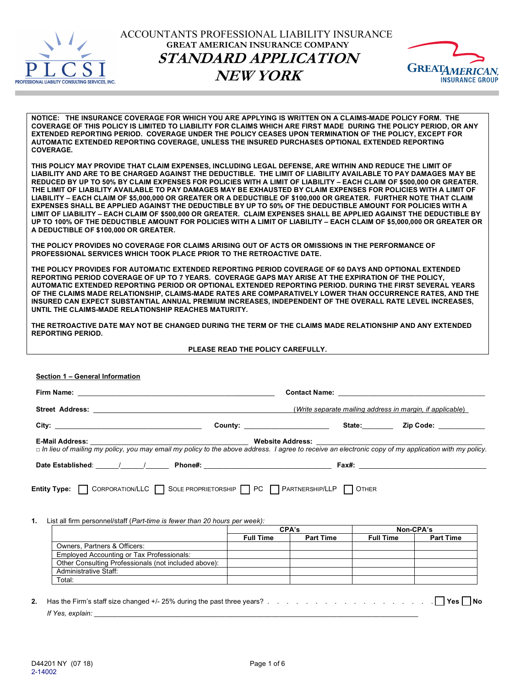

ACCOUNTANTS PROFESSIONAL LIABILITY INSURANCE **GREAT AMERICAN INSURANCE COMPANY STANDARD APPLICATION NEW YORK**



**NOTICE: THE INSURANCE COVERAGE FOR WHICH YOU ARE APPLYING IS WRITTEN ON A CLAIMS-MADE POLICY FORM. THE COVERAGE OF THIS POLICY IS LIMITED TO LIABILITY FOR CLAIMS WHICH ARE FIRST MADE DURING THE POLICY PERIOD, OR ANY EXTENDED REPORTING PERIOD. COVERAGE UNDER THE POLICY CEASES UPON TERMINATION OF THE POLICY, EXCEPT FOR AUTOMATIC EXTENDED REPORTING COVERAGE, UNLESS THE INSURED PURCHASES OPTIONAL EXTENDED REPORTING COVERAGE.**

**THIS POLICY MAY PROVIDE THAT CLAIM EXPENSES, INCLUDING LEGAL DEFENSE, ARE WITHIN AND REDUCE THE LIMIT OF LIABILITY AND ARE TO BE CHARGED AGAINST THE DEDUCTIBLE. THE LIMIT OF LIABILITY AVAILABLE TO PAY DAMAGES MAY BE REDUCED BY UP TO 50% BY CLAIM EXPENSES FOR POLICIES WITH A LIMIT OF LIABILITY – EACH CLAIM OF \$500,000 OR GREATER. THE LIMIT OF LIABILITY AVAILABLE TO PAY DAMAGES MAY BE EXHAUSTED BY CLAIM EXPENSES FOR POLICIES WITH A LIMIT OF LIABILITY – EACH CLAIM OF \$5,000,000 OR GREATER OR A DEDUCTIBLE OF \$100,000 OR GREATER. FURTHER NOTE THAT CLAIM EXPENSES SHALL BE APPLIED AGAINST THE DEDUCTIBLE BY UP TO 50% OF THE DEDUCTIBLE AMOUNT FOR POLICIES WITH A LIMIT OF LIABILITY – EACH CLAIM OF \$500,000 OR GREATER. CLAIM EXPENSES SHALL BE APPLIED AGAINST THE DEDUCTIBLE BY UP TO 100% OF THE DEDUCTIBLE AMOUNT FOR POLICIES WITH A LIMIT OF LIABILITY – EACH CLAIM OF \$5,000,000 OR GREATER OR A DEDUCTIBLE OF \$100,000 OR GREATER.**

**THE POLICY PROVIDES NO COVERAGE FOR CLAIMS ARISING OUT OF ACTS OR OMISSIONS IN THE PERFORMANCE OF PROFESSIONAL SERVICES WHICH TOOK PLACE PRIOR TO THE RETROACTIVE DATE.**

**THE POLICY PROVIDES FOR AUTOMATIC EXTENDED REPORTING PERIOD COVERAGE OF 60 DAYS AND OPTIONAL EXTENDED REPORTING PERIOD COVERAGE OF UP TO 7 YEARS. COVERAGE GAPS MAY ARISE AT THE EXPIRATION OF THE POLICY, AUTOMATIC EXTENDED REPORTING PERIOD OR OPTIONAL EXTENDED REPORTING PERIOD. DURING THE FIRST SEVERAL YEARS OF THE CLAIMS MADE RELATIONSHIP, CLAIMS-MADE RATES ARE COMPARATIVELY LOWER THAN OCCURRENCE RATES, AND THE INSURED CAN EXPECT SUBSTANTIAL ANNUAL PREMIUM INCREASES, INDEPENDENT OF THE OVERALL RATE LEVEL INCREASES, UNTIL THE CLAIMS-MADE RELATIONSHIP REACHES MATURITY.**

**THE RETROACTIVE DATE MAY NOT BE CHANGED DURING THE TERM OF THE CLAIMS MADE RELATIONSHIP AND ANY EXTENDED REPORTING PERIOD.**

## **PLEASE READ THE POLICY CAREFULLY.**

|                                                                                                                                                                            |       | (Write separate mailing address in margin, if applicable) |
|----------------------------------------------------------------------------------------------------------------------------------------------------------------------------|-------|-----------------------------------------------------------|
|                                                                                                                                                                            |       |                                                           |
|                                                                                                                                                                            |       |                                                           |
|                                                                                                                                                                            |       |                                                           |
|                                                                                                                                                                            |       |                                                           |
|                                                                                                                                                                            |       |                                                           |
|                                                                                                                                                                            |       |                                                           |
|                                                                                                                                                                            |       |                                                           |
| Entity Type: CORPORATION/LLC SOLE PROPRIETORSHIP PC PARTNERSHIP/LLP COTHER<br><b>1.</b> List all firm personnel/staff ( <i>Part-time is fewer than 20 hours per week):</i> | CPA's | Non-CPA's                                                 |
|                                                                                                                                                                            |       | Full Time   Part Time   Full Time   Part Time             |
| Owners, Partners & Officers:                                                                                                                                               |       |                                                           |
| <b>Employed Accounting or Tax Professionals:</b>                                                                                                                           |       |                                                           |
| Other Consulting Professionals (not included above):                                                                                                                       |       |                                                           |
| Administrative Staff:<br>Total:                                                                                                                                            |       |                                                           |

*If Yes, explain:*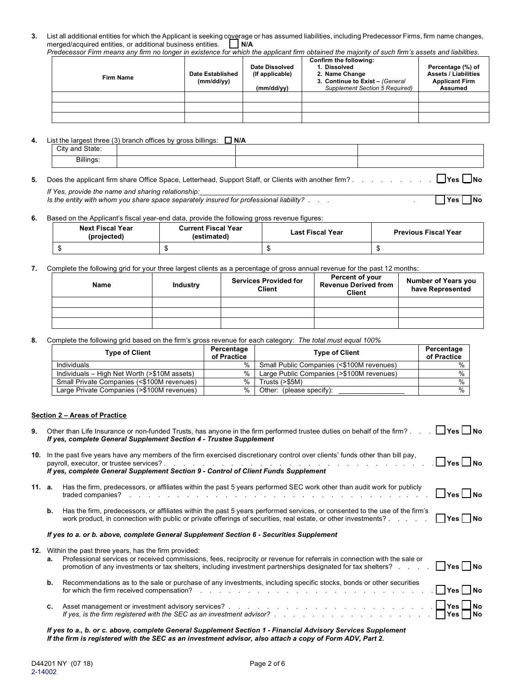**3.** List all additional entities for which the Applicant is seeking coverage or has assumed liabilities, including Predecessor Firms, firm name changes, merged/acquired entities, or additional business entities.  $\Box$  N/A merged/acquired entities, or additional business entities. *Predecessor Firm means any firm no longer in existence for which the applicant firm obtained the majority of such firm's assets and liabilities.*

| redecessor Firm means any limi no longer in existence for which the applicant limi obtained the majority of such limit's assets and habilities. |                                |                                                 |                                                                                                                                      |                                                                                             |  |  |
|-------------------------------------------------------------------------------------------------------------------------------------------------|--------------------------------|-------------------------------------------------|--------------------------------------------------------------------------------------------------------------------------------------|---------------------------------------------------------------------------------------------|--|--|
| <b>Firm Name</b>                                                                                                                                | Date Established<br>(mm/dd/vv) | Date Dissolved<br>(If applicable)<br>(mm/dd/vv) | Confirm the following:<br>1. Dissolved<br>2. Name Change<br>3. Continue to Exist - (General<br><b>Supplement Section 5 Required)</b> | Percentage (%) of<br><b>Assets / Liabilities</b><br><b>Applicant Firm</b><br><b>Assumed</b> |  |  |
|                                                                                                                                                 |                                |                                                 |                                                                                                                                      |                                                                                             |  |  |
|                                                                                                                                                 |                                |                                                 |                                                                                                                                      |                                                                                             |  |  |
|                                                                                                                                                 |                                |                                                 |                                                                                                                                      |                                                                                             |  |  |

**4.** List the largest three (3) branch offices by gross billings: **N/A**

| City and State: |  |  |
|-----------------|--|--|
| Billings:       |  |  |

**5.** Does the applicant firm share Office Space, Letterhead, Support Staff, or Clients with another firm? . . . . . . . . . **Yes No** *If Yes, provide the name and sharing relationship:*<br>Is the entity with whom you share space separately insured for professional liability? . . . .

*Is the entity with whom you share space separately insured for professional liability? . . . .* 

**6.** Based on the Applicant's fiscal year-end data, provide the following gross revenue figures:

| <b>Next Fiscal Year</b><br>(projected) | <b>Current Fiscal Year</b><br>(estimated) | <b>Last Fiscal Year</b> | <b>Previous Fiscal Year</b> |
|----------------------------------------|-------------------------------------------|-------------------------|-----------------------------|
|                                        |                                           |                         |                             |

**7.** Complete the following grid for your three largest clients as a percentage of gross annual revenue for the past 12 months:

| Name | <b>Industry</b> | <b>Services Provided for</b><br>Client | Percent of your<br><b>Revenue Derived from</b><br><b>Client</b> | <b>Number of Years you</b><br>have Represented |
|------|-----------------|----------------------------------------|-----------------------------------------------------------------|------------------------------------------------|
|      |                 |                                        |                                                                 |                                                |
|      |                 |                                        |                                                                 |                                                |
|      |                 |                                        |                                                                 |                                                |

**8.** Complete the following grid based on the firm's gross revenue for each category: *The total must equal 100%*

| <b>Type of Client</b>                        | Percentage<br>of Practice | <b>Type of Client</b>                     | Percentage<br>of Practice |
|----------------------------------------------|---------------------------|-------------------------------------------|---------------------------|
| Individuals                                  | %                         | Small Public Companies (<\$100M revenues) | $\frac{0}{0}$             |
| Individuals – High Net Worth (>\$10M assets) | %                         | Large Public Companies (>\$100M revenues) | $\frac{0}{0}$             |
| Small Private Companies (<\$100M revenues)   | $\%$                      | Trusts $(>\,$ \$5M)                       | $\frac{0}{0}$             |
| Large Private Companies (>\$100M revenues)   | $\%$                      | Other: (please specify):                  | $\%$                      |

### **Section 2 – Areas of Practice**

| 9.     |    | Other than Life Insurance or non-funded Trusts, has anyone in the firm performed trustee duties on behalf of the firm?<br>$\Box$ Yes $\Box$ No<br>If yes, complete General Supplement Section 4 - Trustee Supplement                                                                                          |
|--------|----|---------------------------------------------------------------------------------------------------------------------------------------------------------------------------------------------------------------------------------------------------------------------------------------------------------------|
| 10.    |    | In the past five years have any members of the firm exercised discretionary control over clients' funds other than bill pay,<br>$\Box$ Yes $\Box$ No<br>If yes, complete General Supplement Section 9 - Control of Client Funds Supplement                                                                    |
| 11. a. |    | Has the firm, predecessors, or affiliates within the past 5 years performed SEC work other than audit work for publicly<br>$\Box$ Yes $\Box$ No<br>traded companies?<br>de la casa de la casa de la casa de la casa de la casa de la casa de la casa de la casa de                                            |
|        | b. | Has the firm, predecessors, or affiliates within the past 5 years performed services, or consented to the use of the firm's<br>   Yes   No<br>work product, in connection with public or private offerings of securities, real estate, or other investments?                                                  |
|        |    | If yes to a. or b. above, complete General Supplement Section 6 - Securities Supplement                                                                                                                                                                                                                       |
| 12.    | а. | Within the past three years, has the firm provided:<br>Professional services or received commissions, fees, reciprocity or revenue for referrals in connection with the sale or<br>  Yes   No<br>promotion of any investments or tax shelters, including investment partnerships designated for tax shelters? |
|        | b. | Recommendations as to the sale or purchase of any investments, including specific stocks, bonds or other securities<br>∐Yes ∐ No<br>for which the firm received compensation?<br>and the contract of the contract of the contract of the contract of the contract of                                          |
|        | C. | Asset management or investment advisory services?<br>If yes, is the firm registered with the SEC as an investment advisor?<br>No                                                                                                                                                                              |

*If yes to a., b. or c. above, complete General Supplement Section 1 - Financial Advisory Services Supplement If the firm is registered with the SEC as an investment advisor, also attach a copy of Form ADV, Part 2.*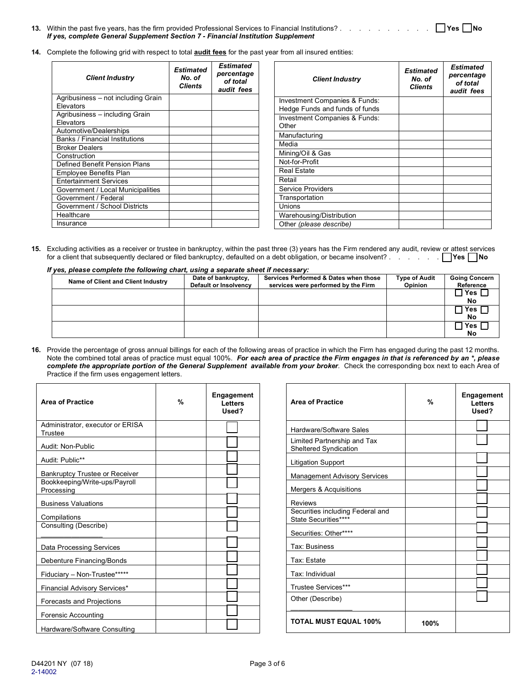| If yes, complete General Supplement Section 7 - Financial Institution Supplement |  |
|----------------------------------------------------------------------------------|--|

**14.** Complete the following grid with respect to total **audit fees** for the past year from all insured entities:

| <b>Client Industry</b>                          | <b>Estimated</b><br>No. of<br><b>Clients</b> | <b>Estimated</b><br>percentage<br>of total<br>audit fees | Clier                                  |
|-------------------------------------------------|----------------------------------------------|----------------------------------------------------------|----------------------------------------|
| Agribusiness - not including Grain<br>Elevators |                                              |                                                          | <b>Investment Con</b><br>Hedge Funds a |
| Agribusiness - including Grain<br>Elevators     |                                              |                                                          | <b>Investment Con</b><br>Other         |
| Automotive/Dealerships                          |                                              |                                                          | Manufacturing                          |
| Banks / Financial Institutions                  |                                              |                                                          |                                        |
| <b>Broker Dealers</b>                           |                                              |                                                          | Media                                  |
| Construction                                    |                                              |                                                          | Mining/Oil & Ga                        |
| Defined Benefit Pension Plans                   |                                              |                                                          | Not-for-Profit                         |
| Employee Benefits Plan                          |                                              |                                                          | <b>Real Estate</b>                     |
| <b>Entertainment Services</b>                   |                                              |                                                          | Retail                                 |
| Government / Local Municipalities               |                                              |                                                          | Service Provide                        |
| Government / Federal                            |                                              |                                                          | Transportation                         |
| Government / School Districts                   |                                              |                                                          | Unions                                 |
| Healthcare                                      |                                              |                                                          | Warehousing/D                          |
| Insurance                                       |                                              |                                                          | Other (please d                        |

| <b>Client Industry</b>                                                     | Estimated<br>No. of<br><b>Clients</b> | Estimated<br>percentage<br>of total<br>audit fees |
|----------------------------------------------------------------------------|---------------------------------------|---------------------------------------------------|
| <b>Investment Companies &amp; Funds:</b><br>Hedge Funds and funds of funds |                                       |                                                   |
|                                                                            |                                       |                                                   |
| <b>Investment Companies &amp; Funds:</b><br>Other                          |                                       |                                                   |
| Manufacturing                                                              |                                       |                                                   |
| Media                                                                      |                                       |                                                   |
| Mining/Oil & Gas                                                           |                                       |                                                   |
| Not-for-Profit                                                             |                                       |                                                   |
| <b>Real Estate</b>                                                         |                                       |                                                   |
| Retail                                                                     |                                       |                                                   |
| Service Providers                                                          |                                       |                                                   |
| Transportation                                                             |                                       |                                                   |
| Unions                                                                     |                                       |                                                   |
| Warehousing/Distribution                                                   |                                       |                                                   |
| Other (please describe)                                                    |                                       |                                                   |
|                                                                            |                                       |                                                   |

**15.** Excluding activities as a receiver or trustee in bankruptcy, within the past three (3) years has the Firm rendered any audit, review or attest services for a client that subsequently declared or filed bankruptcy, defaulted on a debt obligation, or became insolvent? . . . . . . **TYes No** 

| If yes, please complete the following chart, using a separate sheet if necessary: |
|-----------------------------------------------------------------------------------|
|-----------------------------------------------------------------------------------|

| , co, prease complete the following onart, asing a separate sheet in hecessary. |                       |                                       |                      |                      |  |  |
|---------------------------------------------------------------------------------|-----------------------|---------------------------------------|----------------------|----------------------|--|--|
| Name of Client and Client Industry                                              | Date of bankruptcy,   | Services Performed & Dates when those | <b>Type of Audit</b> | <b>Going Concern</b> |  |  |
|                                                                                 | Default or Insolvency | services were performed by the Firm   | <b>Opinion</b>       | Reference            |  |  |
|                                                                                 |                       |                                       |                      | Yes                  |  |  |
|                                                                                 |                       |                                       |                      | No                   |  |  |
|                                                                                 |                       |                                       |                      | Yes                  |  |  |
|                                                                                 |                       |                                       |                      | No                   |  |  |
|                                                                                 |                       |                                       |                      | Yes                  |  |  |
|                                                                                 |                       |                                       |                      | No                   |  |  |

**16.** Provide the percentage of gross annual billings for each of the following areas of practice in which the Firm has engaged during the past 12 months. Note the combined total areas of practice must equal 100%. *For each area of practice the Firm engages in that is referenced by an \*, please complete the appropriate portion of the General Supplement available from your broker.* Check the corresponding box next to each Area of Practice if the firm uses engagement letters.

| <b>Area of Practice</b>                     | % | <b>Engagement</b><br>Letters<br>Used? |
|---------------------------------------------|---|---------------------------------------|
| Administrator, executor or ERISA<br>Trustee |   |                                       |
| Audit: Non-Public                           |   |                                       |
| Audit: Public**                             |   |                                       |
| <b>Bankruptcy Trustee or Receiver</b>       |   |                                       |
| Bookkeeping/Write-ups/Payroll<br>Processing |   |                                       |
| <b>Business Valuations</b>                  |   |                                       |
| Compilations                                |   |                                       |
| Consulting (Describe)                       |   |                                       |
| Data Processing Services                    |   |                                       |
| Debenture Financing/Bonds                   |   |                                       |
| Fiduciary - Non-Trustee*****                |   |                                       |
| <b>Financial Advisory Services*</b>         |   |                                       |
| Forecasts and Projections                   |   |                                       |
| Forensic Accounting                         |   |                                       |
| Hardware/Software Consulting                |   |                                       |

| <b>Area of Practice</b>                                     | %    | <b>Engagement</b><br>Letters<br>Used? |  |
|-------------------------------------------------------------|------|---------------------------------------|--|
| Hardware/Software Sales                                     |      |                                       |  |
| Limited Partnership and Tax<br><b>Sheltered Syndication</b> |      |                                       |  |
| <b>Litigation Support</b>                                   |      |                                       |  |
| <b>Management Advisory Services</b>                         |      |                                       |  |
| Mergers & Acquisitions                                      |      |                                       |  |
| Reviews                                                     |      |                                       |  |
| Securities including Federal and<br>State Securities****    |      |                                       |  |
| Securities: Other****                                       |      |                                       |  |
| Tax: Business                                               |      |                                       |  |
| Tax: Estate                                                 |      |                                       |  |
| Tax: Individual                                             |      |                                       |  |
| Trustee Services***                                         |      |                                       |  |
| Other (Describe)                                            |      |                                       |  |
| <b>TOTAL MUST EQUAL 100%</b>                                | 100% |                                       |  |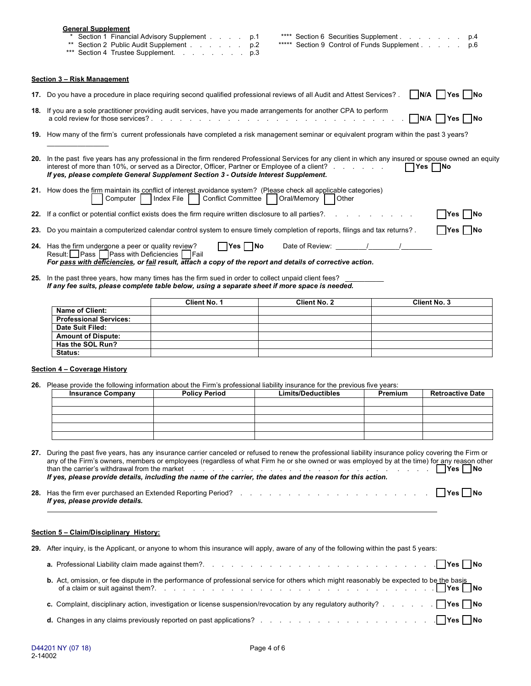|                                                                                                                                                                                                                                                                                                                                                                                                                         | <b>General Supplement</b>                                                                                                                                                                                                                                                                                                                                           | Section 1 Financial Advisory Supplement<br>p.1<br>** Section 2 Public Audit Supplement<br>p.2<br>*** Section 4 Trustee Supplement.<br>p.3                                                                                                                                                                                                                                                                          | **** Section 6 Securities Supplement<br>***** Section 9 Control of Funds Supplement |         | p.4<br>p.6              |
|-------------------------------------------------------------------------------------------------------------------------------------------------------------------------------------------------------------------------------------------------------------------------------------------------------------------------------------------------------------------------------------------------------------------------|---------------------------------------------------------------------------------------------------------------------------------------------------------------------------------------------------------------------------------------------------------------------------------------------------------------------------------------------------------------------|--------------------------------------------------------------------------------------------------------------------------------------------------------------------------------------------------------------------------------------------------------------------------------------------------------------------------------------------------------------------------------------------------------------------|-------------------------------------------------------------------------------------|---------|-------------------------|
|                                                                                                                                                                                                                                                                                                                                                                                                                         | Section 3 - Risk Management                                                                                                                                                                                                                                                                                                                                         |                                                                                                                                                                                                                                                                                                                                                                                                                    |                                                                                     |         |                         |
|                                                                                                                                                                                                                                                                                                                                                                                                                         |                                                                                                                                                                                                                                                                                                                                                                     | 17. Do you have a procedure in place requiring second qualified professional reviews of all Audit and Attest Services?.                                                                                                                                                                                                                                                                                            |                                                                                     |         | N/A    Yes    No        |
|                                                                                                                                                                                                                                                                                                                                                                                                                         |                                                                                                                                                                                                                                                                                                                                                                     | 18. If you are a sole practitioner providing audit services, have you made arrangements for another CPA to perform                                                                                                                                                                                                                                                                                                 |                                                                                     |         | $N/A$   $Yes$<br>1No    |
|                                                                                                                                                                                                                                                                                                                                                                                                                         | 19. How many of the firm's current professionals have completed a risk management seminar or equivalent program within the past 3 years?                                                                                                                                                                                                                            |                                                                                                                                                                                                                                                                                                                                                                                                                    |                                                                                     |         |                         |
|                                                                                                                                                                                                                                                                                                                                                                                                                         | 20. In the past five years has any professional in the firm rendered Professional Services for any client in which any insured or spouse owned an equity<br>interest of more than 10%, or served as a Director, Officer, Partner or Employee of a client?<br>l lYes l<br> No<br>If yes, please complete General Supplement Section 3 - Outside Interest Supplement. |                                                                                                                                                                                                                                                                                                                                                                                                                    |                                                                                     |         |                         |
|                                                                                                                                                                                                                                                                                                                                                                                                                         | Computer                                                                                                                                                                                                                                                                                                                                                            | 21. How does the firm maintain its conflict of interest avoidance system? (Please check all applicable categories)<br>Conflict Committee<br>Index File                                                                                                                                                                                                                                                             | Oral/Memory<br>Other                                                                |         |                         |
|                                                                                                                                                                                                                                                                                                                                                                                                                         |                                                                                                                                                                                                                                                                                                                                                                     | 22. If a conflict or potential conflict exists does the firm require written disclosure to all parties?                                                                                                                                                                                                                                                                                                            |                                                                                     |         | Yes                     |
|                                                                                                                                                                                                                                                                                                                                                                                                                         |                                                                                                                                                                                                                                                                                                                                                                     | 23. Do you maintain a computerized calendar control system to ensure timely completion of reports, filings and tax returns?.                                                                                                                                                                                                                                                                                       |                                                                                     |         | lYes.                   |
|                                                                                                                                                                                                                                                                                                                                                                                                                         | $\Box$ Yes $\Box$ No<br>Date of Review: / / /<br>24. Has the firm undergone a peer or quality review?<br>Result: Pass   Pass with Deficiencies   Fail<br>For pass with deficiencies, or fail result, attach a copy of the report and details of corrective action.                                                                                                  |                                                                                                                                                                                                                                                                                                                                                                                                                    |                                                                                     |         |                         |
|                                                                                                                                                                                                                                                                                                                                                                                                                         |                                                                                                                                                                                                                                                                                                                                                                     | 25. In the past three years, how many times has the firm sued in order to collect unpaid client fees?<br>If any fee suits, please complete table below, using a separate sheet if more space is needed.                                                                                                                                                                                                            |                                                                                     |         |                         |
|                                                                                                                                                                                                                                                                                                                                                                                                                         |                                                                                                                                                                                                                                                                                                                                                                     | Client No. 1                                                                                                                                                                                                                                                                                                                                                                                                       | <b>Client No. 2</b>                                                                 |         | Client No. 3            |
|                                                                                                                                                                                                                                                                                                                                                                                                                         | <b>Name of Client:</b>                                                                                                                                                                                                                                                                                                                                              |                                                                                                                                                                                                                                                                                                                                                                                                                    |                                                                                     |         |                         |
|                                                                                                                                                                                                                                                                                                                                                                                                                         | <b>Professional Services:</b><br>Date Suit Filed:                                                                                                                                                                                                                                                                                                                   |                                                                                                                                                                                                                                                                                                                                                                                                                    |                                                                                     |         |                         |
|                                                                                                                                                                                                                                                                                                                                                                                                                         | <b>Amount of Dispute:</b>                                                                                                                                                                                                                                                                                                                                           |                                                                                                                                                                                                                                                                                                                                                                                                                    |                                                                                     |         |                         |
|                                                                                                                                                                                                                                                                                                                                                                                                                         | Has the SOL Run?                                                                                                                                                                                                                                                                                                                                                    |                                                                                                                                                                                                                                                                                                                                                                                                                    |                                                                                     |         |                         |
|                                                                                                                                                                                                                                                                                                                                                                                                                         | Status:                                                                                                                                                                                                                                                                                                                                                             |                                                                                                                                                                                                                                                                                                                                                                                                                    |                                                                                     |         |                         |
|                                                                                                                                                                                                                                                                                                                                                                                                                         |                                                                                                                                                                                                                                                                                                                                                                     |                                                                                                                                                                                                                                                                                                                                                                                                                    |                                                                                     |         |                         |
|                                                                                                                                                                                                                                                                                                                                                                                                                         | Section 4 - Coverage History                                                                                                                                                                                                                                                                                                                                        |                                                                                                                                                                                                                                                                                                                                                                                                                    |                                                                                     |         |                         |
|                                                                                                                                                                                                                                                                                                                                                                                                                         |                                                                                                                                                                                                                                                                                                                                                                     | 26. Please provide the following information about the Firm's professional liability insurance for the previous five years:                                                                                                                                                                                                                                                                                        |                                                                                     |         |                         |
|                                                                                                                                                                                                                                                                                                                                                                                                                         | <b>Insurance Company</b>                                                                                                                                                                                                                                                                                                                                            | <b>Policy Period</b>                                                                                                                                                                                                                                                                                                                                                                                               | <b>Limits/Deductibles</b>                                                           | Premium | <b>Retroactive Date</b> |
|                                                                                                                                                                                                                                                                                                                                                                                                                         |                                                                                                                                                                                                                                                                                                                                                                     |                                                                                                                                                                                                                                                                                                                                                                                                                    |                                                                                     |         |                         |
|                                                                                                                                                                                                                                                                                                                                                                                                                         |                                                                                                                                                                                                                                                                                                                                                                     |                                                                                                                                                                                                                                                                                                                                                                                                                    |                                                                                     |         |                         |
|                                                                                                                                                                                                                                                                                                                                                                                                                         |                                                                                                                                                                                                                                                                                                                                                                     |                                                                                                                                                                                                                                                                                                                                                                                                                    |                                                                                     |         |                         |
|                                                                                                                                                                                                                                                                                                                                                                                                                         |                                                                                                                                                                                                                                                                                                                                                                     |                                                                                                                                                                                                                                                                                                                                                                                                                    |                                                                                     |         |                         |
| 27. During the past five years, has any insurance carrier canceled or refused to renew the professional liability insurance policy covering the Firm or<br>any of the Firm's owners, members or employees (regardless of what Firm he or she owned or was employed by at the time) for any reason other<br>If yes, please provide details, including the name of the carrier, the dates and the reason for this action. |                                                                                                                                                                                                                                                                                                                                                                     |                                                                                                                                                                                                                                                                                                                                                                                                                    |                                                                                     |         |                         |
|                                                                                                                                                                                                                                                                                                                                                                                                                         | If yes, please provide details.                                                                                                                                                                                                                                                                                                                                     |                                                                                                                                                                                                                                                                                                                                                                                                                    |                                                                                     |         |                         |
|                                                                                                                                                                                                                                                                                                                                                                                                                         | Section 5 - Claim/Disciplinary History:                                                                                                                                                                                                                                                                                                                             |                                                                                                                                                                                                                                                                                                                                                                                                                    |                                                                                     |         |                         |
|                                                                                                                                                                                                                                                                                                                                                                                                                         |                                                                                                                                                                                                                                                                                                                                                                     |                                                                                                                                                                                                                                                                                                                                                                                                                    |                                                                                     |         |                         |
|                                                                                                                                                                                                                                                                                                                                                                                                                         | 29. After inquiry, is the Applicant, or anyone to whom this insurance will apply, aware of any of the following within the past 5 years:                                                                                                                                                                                                                            |                                                                                                                                                                                                                                                                                                                                                                                                                    |                                                                                     |         |                         |
|                                                                                                                                                                                                                                                                                                                                                                                                                         | b. Act, omission, or fee dispute in the performance of professional service for others which might reasonably be expected to be the basis                                                                                                                                                                                                                           |                                                                                                                                                                                                                                                                                                                                                                                                                    |                                                                                     |         |                         |
|                                                                                                                                                                                                                                                                                                                                                                                                                         |                                                                                                                                                                                                                                                                                                                                                                     |                                                                                                                                                                                                                                                                                                                                                                                                                    |                                                                                     |         |                         |
|                                                                                                                                                                                                                                                                                                                                                                                                                         | c. Complaint, disciplinary action, investigation or license suspension/revocation by any regulatory authority?     Yes     No                                                                                                                                                                                                                                       |                                                                                                                                                                                                                                                                                                                                                                                                                    |                                                                                     |         |                         |
|                                                                                                                                                                                                                                                                                                                                                                                                                         |                                                                                                                                                                                                                                                                                                                                                                     | <b>d.</b> Changes in any claims previously reported on past applications? $\therefore$ $\therefore$ $\therefore$ $\therefore$ $\therefore$ $\therefore$ $\therefore$ $\therefore$ $\therefore$ $\therefore$ $\therefore$ $\therefore$ $\therefore$ $\therefore$ $\therefore$ $\therefore$ $\therefore$ $\therefore$ $\therefore$ $\therefore$ $\therefore$ $\therefore$ $\therefore$ $\therefore$ $\therefore$ $\$ |                                                                                     |         |                         |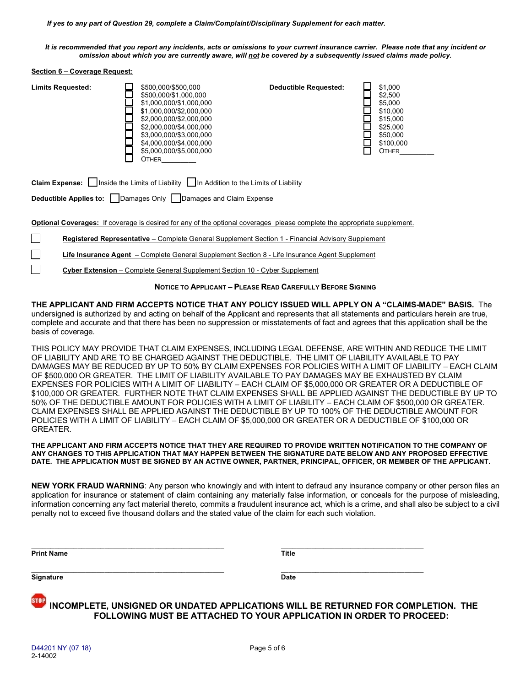*If yes to any part of Question 29, complete a Claim/Complaint/Disciplinary Supplement for each matter.*

*It is recommended that you report any incidents, acts or omissions to your current insurance carrier. Please note that any incident or omission about which you are currently aware, will not be covered by a subsequently issued claims made policy.*

### **Section 6 – Coverage Request:**

#### **Limits Requested:**  $\Box$  \$500,000/\$500,000<br>\$500,000/\$1,000,00 **Deductible Requested:**  $$1,000$ <br>
\$2,500<br>
\$5,000<br>
\$5,000<br>
\$10,00<br>
\$15,000<br>
\$5,000<br>
\$5,000<br>
\$5,000<br>
\$10,00 \$500,000/\$1,000,000 \$2,500 Г \$1,000,000/\$1,000,000 \$5,000 Г \$1,000,000/\$2,000,000 \$10,000 ⊏ \$2,000,000/\$2,000,000 \$15,000  $\Box$  \$2,000,000/\$4,000,000 \$25,000 Г \$3,000,000/\$3,000,000 \$50,000 Ē \$4,000,000/\$4,000,000 \$100,000 ┍ \$5,000,000/\$5,000,000 OTHER\_\_\_\_\_\_\_\_\_  $\Box$ OTHER\_\_\_\_\_\_\_\_\_

**Claim Expense:** Inside the Limits of LiabilityIn Addition to the Limits of Liability

**Deductible Applies to:** Damages OnlyDamages and Claim Expense

**Optional Coverages:** If coverage is desired for any of the optional coverages please complete the appropriate supplement.

| <b>Registered Representative</b> – Complete General Supplement Section 1 - Financial Advisory Supplement |  |  |  |
|----------------------------------------------------------------------------------------------------------|--|--|--|
|                                                                                                          |  |  |  |

**Life Insurance Agent** – Complete General Supplement Section 8 - Life Insurance Agent Supplement

**Cyber Extension** – Complete General Supplement Section 10 - Cyber Supplement

**NOTICE TO APPLICANT – PLEASE READ CAREFULLY BEFORE SIGNING**

**THE APPLICANT AND FIRM ACCEPTS NOTICE THAT ANY POLICY ISSUED WILL APPLY ON A "CLAIMS-MADE" BASIS.** The undersigned is authorized by and acting on behalf of the Applicant and represents that all statements and particulars herein are true, complete and accurate and that there has been no suppression or misstatements of fact and agrees that this application shall be the basis of coverage.

THIS POLICY MAY PROVIDE THAT CLAIM EXPENSES, INCLUDING LEGAL DEFENSE, ARE WITHIN AND REDUCE THE LIMIT OF LIABILITY AND ARE TO BE CHARGED AGAINST THE DEDUCTIBLE. THE LIMIT OF LIABILITY AVAILABLE TO PAY DAMAGES MAY BE REDUCED BY UP TO 50% BY CLAIM EXPENSES FOR POLICIES WITH A LIMIT OF LIABILITY – EACH CLAIM OF \$500,000 OR GREATER. THE LIMIT OF LIABILITY AVAILABLE TO PAY DAMAGES MAY BE EXHAUSTED BY CLAIM EXPENSES FOR POLICIES WITH A LIMIT OF LIABILITY – EACH CLAIM OF \$5,000,000 OR GREATER OR A DEDUCTIBLE OF \$100,000 OR GREATER. FURTHER NOTE THAT CLAIM EXPENSES SHALL BE APPLIED AGAINST THE DEDUCTIBLE BY UP TO 50% OF THE DEDUCTIBLE AMOUNT FOR POLICIES WITH A LIMIT OF LIABILITY – EACH CLAIM OF \$500,000 OR GREATER. CLAIM EXPENSES SHALL BE APPLIED AGAINST THE DEDUCTIBLE BY UP TO 100% OF THE DEDUCTIBLE AMOUNT FOR POLICIES WITH A LIMIT OF LIABILITY – EACH CLAIM OF \$5,000,000 OR GREATER OR A DEDUCTIBLE OF \$100,000 OR GREATER.

**THE APPLICANT AND FIRM ACCEPTS NOTICE THAT THEY ARE REQUIRED TO PROVIDE WRITTEN NOTIFICATION TO THE COMPANY OF ANY CHANGES TO THIS APPLICATION THAT MAY HAPPEN BETWEEN THE SIGNATURE DATE BELOW AND ANY PROPOSED EFFECTIVE DATE. THE APPLICATION MUST BE SIGNED BY AN ACTIVE OWNER, PARTNER, PRINCIPAL, OFFICER, OR MEMBER OF THE APPLICANT.**

**NEW YORK FRAUD WARNING**: Any person who knowingly and with intent to defraud any insurance company or other person files an application for insurance or statement of claim containing any materially false information, or conceals for the purpose of misleading, information concerning any fact material thereto, commits a fraudulent insurance act, which is a crime, and shall also be subject to a civil penalty not to exceed five thousand dollars and the stated value of the claim for each such violation.

**Print Name Title** 

I.

**\_\_\_\_\_\_\_\_\_\_\_\_\_\_\_\_\_\_\_\_\_\_\_\_\_\_\_\_\_\_\_\_\_\_\_\_\_\_\_\_\_\_\_\_\_\_\_\_\_\_ \_\_\_\_\_\_\_\_\_\_\_\_\_\_\_\_\_\_\_\_\_\_\_\_\_\_\_\_\_\_\_\_\_\_\_\_\_ Signature** Date

**INCOMPLETE, UNSIGNED OR UNDATED APPLICATIONS WILL BE RETURNED FOR COMPLETION. THE FOLLOWING MUST BE ATTACHED TO YOUR APPLICATION IN ORDER TO PROCEED:** 

**\_\_\_\_\_\_\_\_\_\_\_\_\_\_\_\_\_\_\_\_\_\_\_\_\_\_\_\_\_\_\_\_\_\_\_\_\_\_\_\_\_\_\_\_\_\_\_\_\_\_ \_\_\_\_\_\_\_\_\_\_\_\_\_\_\_\_\_\_\_\_\_\_\_\_\_\_\_\_\_\_\_\_\_\_\_\_\_**